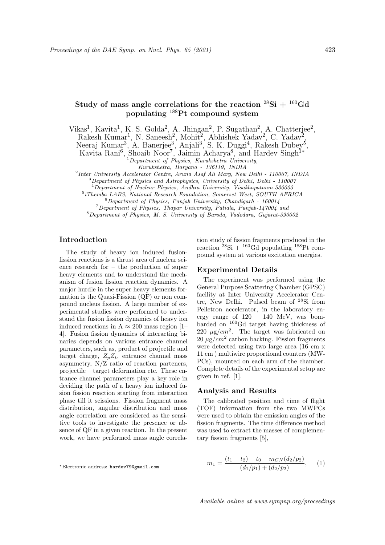# Study of mass angle correlations for the reaction  $^{28}\text{Si} + ^{160}\text{Gd}$ populating <sup>188</sup>Pt compound system

Vikas<sup>1</sup>, Kavita<sup>1</sup>, K. S. Golda<sup>2</sup>, A. Jhingan<sup>2</sup>, P. Sugathan<sup>2</sup>, A. Chatterjee<sup>2</sup>,

Rakesh Kumar<sup>1</sup>, N. Saneesh<sup>2</sup>, Mohit<sup>2</sup>, Abhishek Yadav<sup>2</sup>, C. Yadav<sup>2</sup>,

Neeraj Kumar<sup>3</sup>, A. Banerjee<sup>3</sup>, Anjali<sup>3</sup>, S. K. Duggi<sup>4</sup>, Rakesh Dubey<sup>5</sup>,

Kavita Rani<sup>6</sup>, Shoaib Noor<sup>7</sup>, Jaimin Acharya<sup>8</sup>, and Hardev Singh<sup>1\*</sup>

 $1$ Department of Physics, Kurukshetra University,

Kurukshetra, Haryana - 136119, INDIA

<sup>2</sup>Inter University Accelerator Centre, Aruna Asaf Ali Marg, New Delhi - 110067, INDIA

<sup>3</sup>Department of Physics and Astrophysics, University of Delhi, Delhi - 110007

<sup>4</sup>Department of Nuclear Physics, Andhra University, Visakhapatnam-530003

5 iThemba LABS, National Research Foundation, Somerset West, SOUTH AFRICA

 $6$ Department of Physics, Panjab University, Chandigarh - 160014 <sup>7</sup>Department of Physics, Thapar University, Patiala, Punjab-147004 and

<sup>8</sup>Department of Physics, M. S. University of Baroda, Vadodara, Gujarat-390002

### Introduction

The study of heavy ion induced fusionfission reactions is a thrust area of nuclear science research for – the production of super heavy elements and to understand the mechanism of fusion fission reaction dynamics. A major hurdle in the super heavy elements formation is the Quasi-Fission (QF) or non compound nucleus fission. A large number of experimental studies were performed to understand the fusion fission dynamics of heavy ion induced reactions in A  $\approx 200$  mass region [1– 4]. Fusion fission dynamics of interacting binaries depends on various entrance channel parameters, such as, product of projectile and target charge,  $Z_p Z_t$ , entrance channel mass asymmetry, N/Z ratio of reaction parteners, projectile – target deformation etc. These entrance channel parameters play a key role in deciding the path of a heavy ion induced fusion fission reaction starting from interaction phase till it scissions. Fission fragment mass distribution, angular distribution and mass angle correlation are considered as the sensitive tools to investigate the presence or absence of QF in a given reaction. In the present work, we have performed mass angle correla-

<sup>∗</sup>Electronic address: hardev79@gmail.com

tion study of fission fragments produced in the reaction 
$$
^{28}\text{Si} + ^{160}\text{Gd}
$$
 populating  $^{188}\text{Pt}$  compound system at various excitation energies.

## Experimental Details

The experiment was performed using the General Purpose Scattering Chamber (GPSC) facility at Inter University Accelerator Centre, New Delhi. Pulsed beam of <sup>28</sup>Si from Pelletron accelerator, in the laboratory energy range of 120 – 140 MeV, was bombarded on <sup>160</sup>Gd target having thickness of 220  $\mu$ g/cm<sup>2</sup>. The target was fabricated on  $20 \mu g/cm^2$  carbon backing. Fission fragments were detected using two large area (16 cm x 11 cm ) multiwire proportional counters (MW-PCs), mounted on each arm of the chamber. Complete details of the experimental setup are given in ref. [1].

#### Analysis and Results

The calibrated position and time of flight (TOF) information from the two MWPCs were used to obtain the emission angles of the fission fragments. The time difference method was used to extract the masses of complementary fission fragments [5],

$$
m_1 = \frac{(t_1 - t_2) + t_0 + m_{CN}(d_2/p_2)}{(d_1/p_1) + (d_2/p_2)},
$$
 (1)